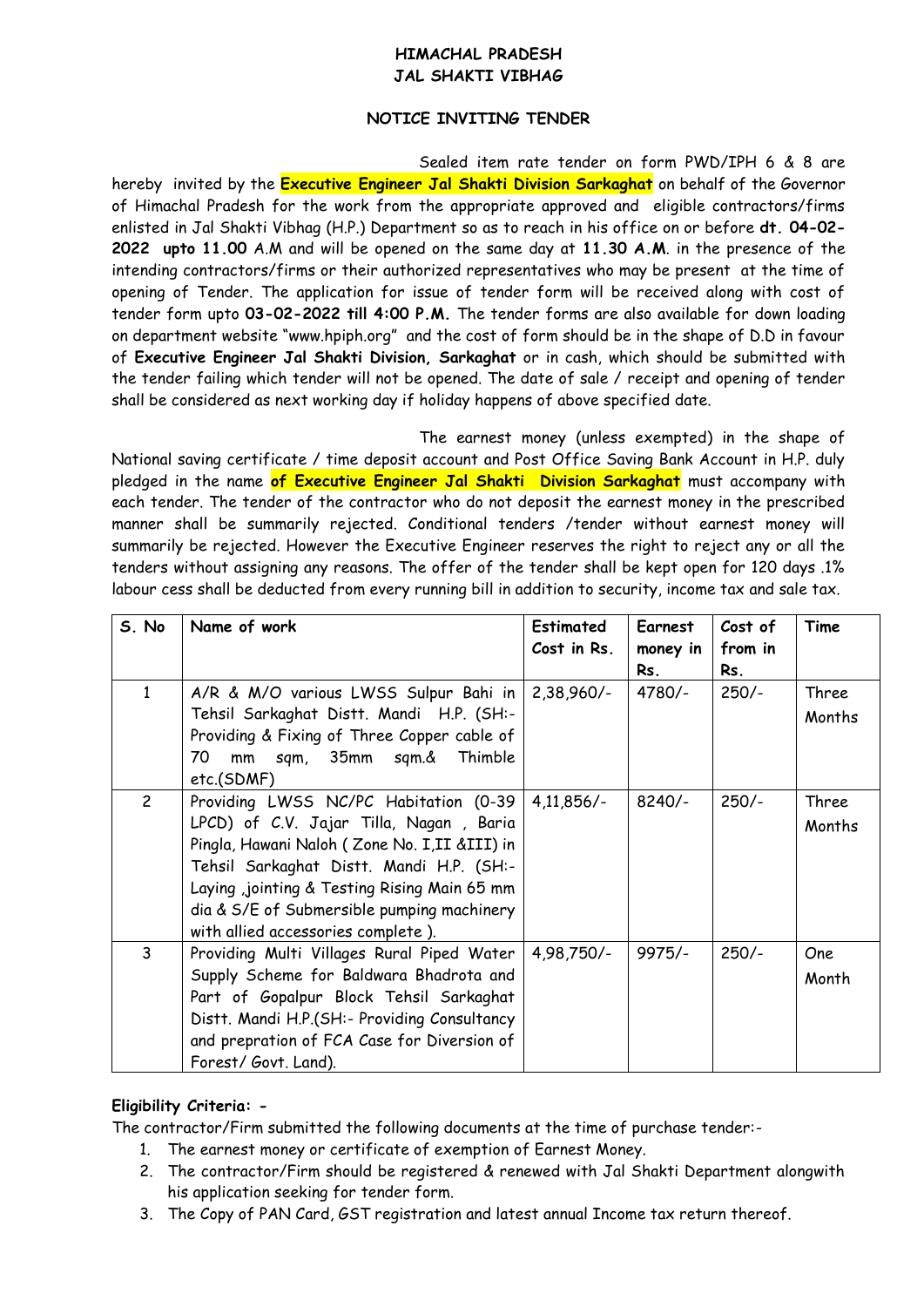## **HIMACHAL PRADESH JAL SHAKTI VIBHAG**

## **NOTICE INVITING TENDER**

Sealed item rate tender on form PWD/IPH 6 & 8 are hereby invited by the **Executive Engineer Jal Shakti Division Sarkaghat** on behalf of the Governor of Himachal Pradesh for the work from the appropriate approved and eligible contractors/firms enlisted in Jal Shakti Vibhag (H.P.) Department so as to reach in his office on or before **dt. 04-02- 2022 upto 11.00** A.M and will be opened on the same day at **11.30 A.M**. in the presence of the intending contractors/firms or their authorized representatives who may be present at the time of opening of Tender. The application for issue of tender form will be received along with cost of tender form upto **03-02-2022 till 4:00 P.M.** The tender forms are also available for down loading on department website "www.hpiph.org" and the cost of form should be in the shape of D.D in favour of **Executive Engineer Jal Shakti Division, Sarkaghat** or in cash, which should be submitted with the tender failing which tender will not be opened. The date of sale / receipt and opening of tender shall be considered as next working day if holiday happens of above specified date.

The earnest money (unless exempted) in the shape of National saving certificate / time deposit account and Post Office Saving Bank Account in H.P. duly pledged in the name **of Executive Engineer Jal Shakti Division Sarkaghat** must accompany with each tender. The tender of the contractor who do not deposit the earnest money in the prescribed manner shall be summarily rejected. Conditional tenders /tender without earnest money will summarily be rejected. However the Executive Engineer reserves the right to reject any or all the tenders without assigning any reasons. The offer of the tender shall be kept open for 120 days .1% labour cess shall be deducted from every running bill in addition to security, income tax and sale tax.

| S. No          | Name of work                                                                                                                                                                                                                                                                                                        | <b>Estimated</b><br>Cost in Rs. | <b>Earnest</b><br>money in<br>Rs. | Cost of<br>from in<br>Rs. | Time            |
|----------------|---------------------------------------------------------------------------------------------------------------------------------------------------------------------------------------------------------------------------------------------------------------------------------------------------------------------|---------------------------------|-----------------------------------|---------------------------|-----------------|
| 1              | A/R & M/O various LWSS Sulpur Bahi in<br>Tehsil Sarkaghat Distt. Mandi H.P. (SH:-<br>Providing & Fixing of Three Copper cable of<br>mm sqm, 35mm sqm.&<br>70<br>Thimble<br>etc.(SDMF)                                                                                                                               | $2,38,960/-$                    | 4780/-                            | $250/-$                   | Three<br>Months |
| $\overline{2}$ | Providing LWSS NC/PC Habitation (0-39)<br>LPCD) of C.V. Jajar Tilla, Nagan, Baria<br>Pingla, Hawani Naloh (Zone No. I, II & III) in<br>Tehsil Sarkaghat Distt. Mandi H.P. (SH:-<br>Laying ,jointing & Testing Rising Main 65 mm<br>dia & S/E of Submersible pumping machinery<br>with allied accessories complete). | $4,11,856/-$                    | $8240/-$                          | $250/-$                   | Three<br>Months |
| 3              | Providing Multi Villages Rural Piped Water<br>Supply Scheme for Baldwara Bhadrota and<br>Part of Gopalpur Block Tehsil Sarkaghat<br>Distt. Mandi H.P.(SH:- Providing Consultancy<br>and prepration of FCA Case for Diversion of<br>Forest/Govt. Land).                                                              | 4,98,750/-                      | $9975/-$                          | $250/-$                   | One<br>Month    |

## **Eligibility Criteria: -**

The contractor/Firm submitted the following documents at the time of purchase tender:-

- 1. The earnest money or certificate of exemption of Earnest Money.
- 2. The contractor/Firm should be registered & renewed with Jal Shakti Department alongwith his application seeking for tender form.
- 3. The Copy of PAN Card, GST registration and latest annual Income tax return thereof.